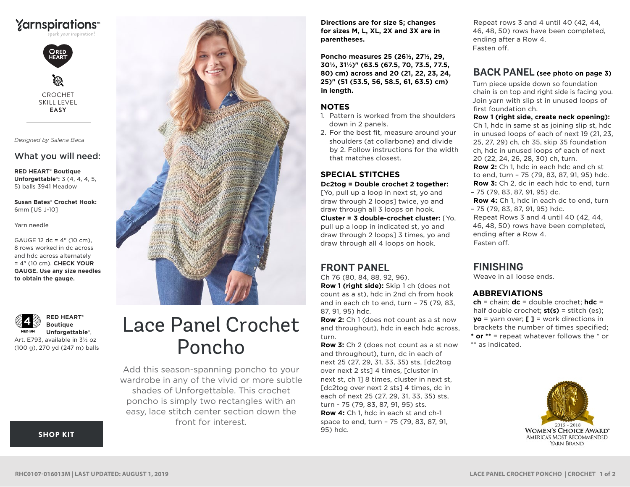



CROCHET SKILL LEVEL **EASY**

*Designed by Salena Baca*

### What you will need:

**RED HEART® Boutique Unforgettable®:** 3 (4, 4, 4, 5, 5) balls 3941 Meadow

**Susan Bates® Crochet Hook:** 6mm [US J-10]

Yarn needle

GAUGE 12 dc = 4" (10 cm), 8 rows worked in dc across and hdc across alternately = 4" (10 cm). **CHECK YOUR GAUGE. Use any size needles to obtain the gauge.**

**RED HEART® Boutique**  MEDIUM **Unforgettable®**, Art. E793, available in 3½ oz

(100 g), 270 yd (247 m) balls



# Lace Panel Crochet Poncho

Add this season-spanning poncho to your wardrobe in any of the vivid or more subtle shades of Unforgettable. This crochet poncho is simply two rectangles with an easy, lace stitch center section down the front for interest.

**Directions are for size S; changes for sizes M, L, XL, 2X and 3X are in parentheses.**

**Poncho measures 25 (26½, 27½, 29, 30½, 31½)" (63.5 (67.5, 70, 73.5, 77.5, 80) cm) across and 20 (21, 22, 23, 24, 25)" (51 (53.5, 56, 58.5, 61, 63.5) cm) in length.**

#### **NOTES**

- 1. Pattern is worked from the shoulders down in 2 panels.
- 2. For the best fit, measure around your shoulders (at collarbone) and divide by 2. Follow instructions for the width that matches closest.

#### **SPECIAL STITCHES Dc2tog = Double crochet 2 together:**

[Yo, pull up a loop in next st, yo and draw through 2 loops] twice, yo and draw through all 3 loops on hook. **Cluster = 3 double-crochet cluster:** [Yo,

pull up a loop in indicated st, yo and draw through 2 loops] 3 times, yo and draw through all 4 loops on hook.

## **FRONT PANEL**

Ch 76 (80, 84, 88, 92, 96). **Row 1 (right side):** Skip 1 ch (does not count as a st), hdc in 2nd ch from hook and in each ch to end, turn – 75 (79, 83, 87, 91, 95) hdc.

**Row 2:** Ch 1 (does not count as a st now and throughout), hdc in each hdc across, turn.

**Row 3:** Ch 2 (does not count as a st now and throughout), turn, dc in each of next 25 (27, 29, 31, 33, 35) sts, [dc2tog over next 2 sts] 4 times, [cluster in next st, ch 1] 8 times, cluster in next st, [dc2tog over next 2 sts] 4 times, dc in each of next 25 (27, 29, 31, 33, 35) sts, turn - 75 (79, 83, 87, 91, 95) sts. **Row 4:** Ch 1, hdc in each st and ch-1 space to end, turn – 75 (79, 83, 87, 91, 95) hdc.

Repeat rows 3 and 4 until 40 (42, 44, 46, 48, 50) rows have been completed, ending after a Row 4. Fasten off.

## **BACK PANEL (see photo on page 3)**

Turn piece upside down so foundation chain is on top and right side is facing you. Join yarn with slip st in unused loops of first foundation ch.

**Row 1 (right side, create neck opening):**

Ch 1, hdc in same st as joining slip st, hdc in unused loops of each of next 19 (21, 23, 25, 27, 29) ch, ch 35, skip 35 foundation ch, hdc in unused loops of each of next 20 (22, 24, 26, 28, 30) ch, turn. **Row 2:** Ch 1, hdc in each hdc and ch st to end, turn – 75 (79, 83, 87, 91, 95) hdc. **Row 3:** Ch 2, dc in each hdc to end, turn – 75 (79, 83, 87, 91, 95) dc. **Row 4:** Ch 1, hdc in each dc to end, turn

– 75 (79, 83, 87, 91, 95) hdc. Repeat Rows 3 and 4 until 40 (42, 44,

46, 48, 50) rows have been completed, ending after a Row 4. Fasten off.

## **FINISHING**

Weave in all loose ends.

## **ABBREVIATIONS**

**ch** = chain; **dc** = double crochet; **hdc** = half double crochet; **st(s)** = stitch (es); **yo** = yarn over; **[ ]** = work directions in brackets the number of times specified; **\* or \*\*** = repeat whatever follows the \* or \*\* as indicated.



[SHOP KIT](https://www.yarnspirations.com/red-heart-lace-panel-crochet-poncho/RHC0107-016013M.html#utm_source=pdf-yarnspirations&utm_medium=referral&utm_campaign=pdf-RHC0107-016013M)